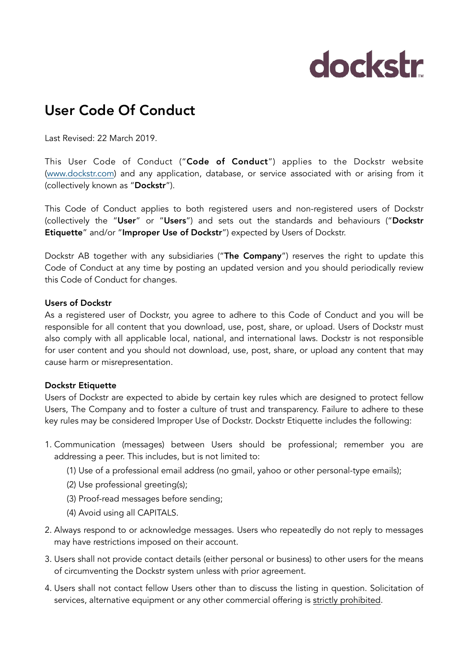# dockstr

### User Code Of Conduct

Last Revised: 22 March 2019.

This User Code of Conduct ("Code of Conduct") applies to the Dockstr website ([www.dockstr.com](http://www.dockstr.com)) and any application, database, or service associated with or arising from it (collectively known as "Dockstr").

This Code of Conduct applies to both registered users and non-registered users of Dockstr (collectively the "User" or "Users") and sets out the standards and behaviours ("Dockstr Etiquette" and/or "Improper Use of Dockstr") expected by Users of Dockstr.

Dockstr AB together with any subsidiaries ("The Company") reserves the right to update this Code of Conduct at any time by posting an updated version and you should periodically review this Code of Conduct for changes.

#### Users of Dockstr

As a registered user of Dockstr, you agree to adhere to this Code of Conduct and you will be responsible for all content that you download, use, post, share, or upload. Users of Dockstr must also comply with all applicable local, national, and international laws. Dockstr is not responsible for user content and you should not download, use, post, share, or upload any content that may cause harm or misrepresentation.

#### Dockstr Etiquette

Users of Dockstr are expected to abide by certain key rules which are designed to protect fellow Users, The Company and to foster a culture of trust and transparency. Failure to adhere to these key rules may be considered Improper Use of Dockstr. Dockstr Etiquette includes the following:

- 1. Communication (messages) between Users should be professional; remember you are addressing a peer. This includes, but is not limited to:
	- (1) Use of a professional email address (no gmail, yahoo or other personal-type emails);
	- (2) Use professional greeting(s);
	- (3) Proof-read messages before sending;
	- (4) Avoid using all CAPITALS.
- 2. Always respond to or acknowledge messages. Users who repeatedly do not reply to messages may have restrictions imposed on their account.
- 3. Users shall not provide contact details (either personal or business) to other users for the means of circumventing the Dockstr system unless with prior agreement.
- 4. Users shall not contact fellow Users other than to discuss the listing in question. Solicitation of services, alternative equipment or any other commercial offering is strictly prohibited.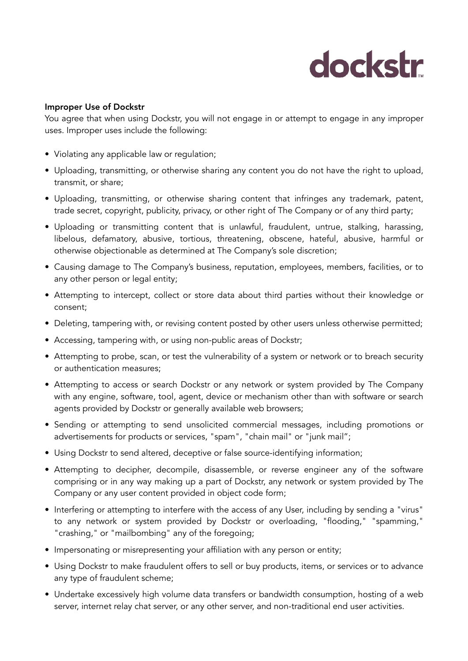## dockstr

#### Improper Use of Dockstr

You agree that when using Dockstr, you will not engage in or attempt to engage in any improper uses. Improper uses include the following:

- Violating any applicable law or regulation;
- Uploading, transmitting, or otherwise sharing any content you do not have the right to upload, transmit, or share;
- Uploading, transmitting, or otherwise sharing content that infringes any trademark, patent, trade secret, copyright, publicity, privacy, or other right of The Company or of any third party;
- Uploading or transmitting content that is unlawful, fraudulent, untrue, stalking, harassing, libelous, defamatory, abusive, tortious, threatening, obscene, hateful, abusive, harmful or otherwise objectionable as determined at The Company's sole discretion;
- Causing damage to The Company's business, reputation, employees, members, facilities, or to any other person or legal entity;
- Attempting to intercept, collect or store data about third parties without their knowledge or consent;
- Deleting, tampering with, or revising content posted by other users unless otherwise permitted;
- Accessing, tampering with, or using non-public areas of Dockstr;
- Attempting to probe, scan, or test the vulnerability of a system or network or to breach security or authentication measures;
- Attempting to access or search Dockstr or any network or system provided by The Company with any engine, software, tool, agent, device or mechanism other than with software or search agents provided by Dockstr or generally available web browsers;
- Sending or attempting to send unsolicited commercial messages, including promotions or advertisements for products or services, "spam", "chain mail" or "junk mail";
- Using Dockstr to send altered, deceptive or false source-identifying information;
- Attempting to decipher, decompile, disassemble, or reverse engineer any of the software comprising or in any way making up a part of Dockstr, any network or system provided by The Company or any user content provided in object code form;
- Interfering or attempting to interfere with the access of any User, including by sending a "virus" to any network or system provided by Dockstr or overloading, "flooding," "spamming," "crashing," or "mailbombing" any of the foregoing;
- Impersonating or misrepresenting your affiliation with any person or entity;
- Using Dockstr to make fraudulent offers to sell or buy products, items, or services or to advance any type of fraudulent scheme;
- Undertake excessively high volume data transfers or bandwidth consumption, hosting of a web server, internet relay chat server, or any other server, and non-traditional end user activities.